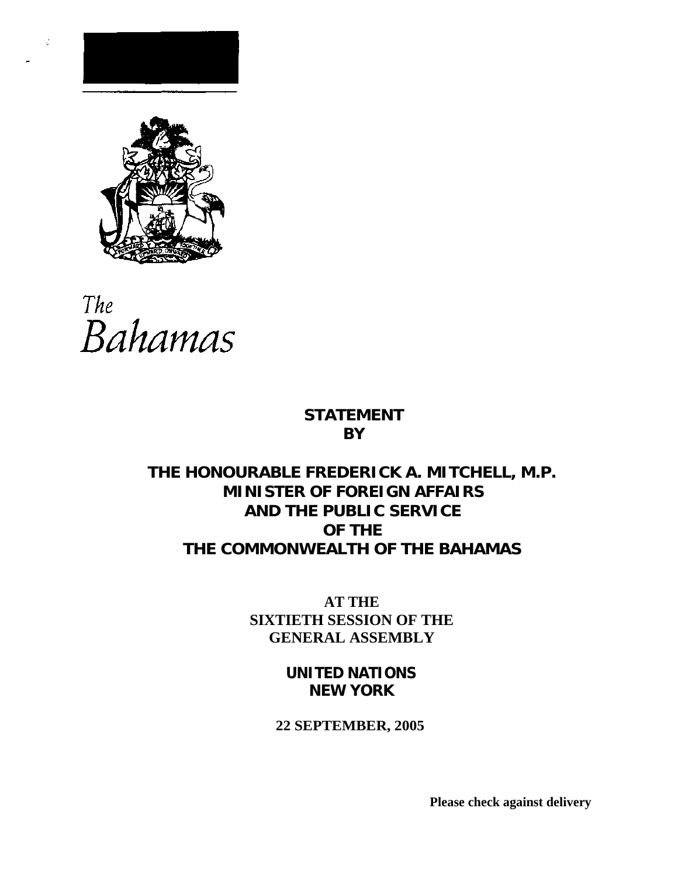

¢



# **STATEMENT BY**

# **THE HONOURABLE FREDERICK A. MITCHELL, M.P. MINISTER OF FOREIGN AFFAIRS AND THE PUBLIC SERVICE OF THE THE COMMONWEALTH OF THE BAHAMAS**

**AT THE SIXTIETH SESSION OF THE GENERAL ASSEMBLY**

> **UNITED NATIONS NEW YORK**

# **22 SEPTEMBER, 2005**

**Please check against delivery**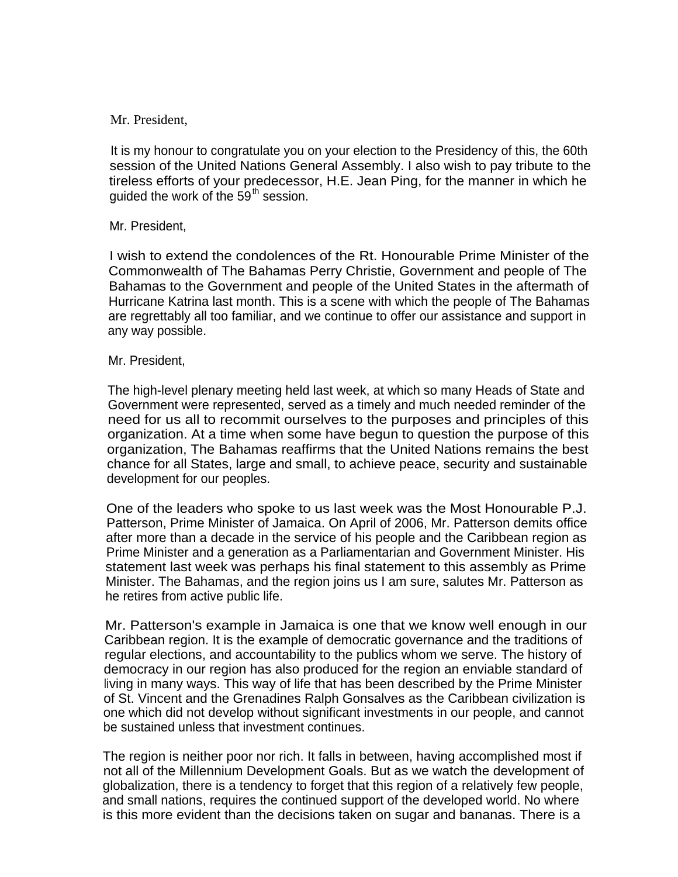#### Mr. President,

It is my honour to congratulate you on your election to the Presidency of this, the 60th session of the United Nations General Assembly. I also wish to pay tribute to the tireless efforts of your predecessor, H.E. Jean Ping, for the manner in which he quided the work of the  $59<sup>th</sup>$  session.

## Mr. President,

I wish to extend the condolences of the Rt. Honourable Prime Minister of the Commonwealth of The Bahamas Perry Christie, Government and people of The Bahamas to the Government and people of the United States in the aftermath of Hurricane Katrina last month. This is a scene with which the people of The Bahamas are regrettably all too familiar, and we continue to offer our assistance and support in any way possible.

#### Mr. President,

The high-level plenary meeting held last week, at which so many Heads of State and Government were represented, served as a timely and much needed reminder of the need for us all to recommit ourselves to the purposes and principles of this organization. At a time when some have begun to question the purpose of this organization, The Bahamas reaffirms that the United Nations remains the best chance for all States, large and small, to achieve peace, security and sustainable development for our peoples.

One of the leaders who spoke to us last week was the Most Honourable P.J. Patterson, Prime Minister of Jamaica. On April of 2006, Mr. Patterson demits office after more than a decade in the service of his people and the Caribbean region as Prime Minister and a generation as a Parliamentarian and Government Minister. His statement last week was perhaps his final statement to this assembly as Prime Minister. The Bahamas, and the region joins us I am sure, salutes Mr. Patterson as he retires from active public life.

Mr. Patterson's example in Jamaica is one that we know well enough in our Caribbean region. It is the example of democratic governance and the traditions of regular elections, and accountability to the publics whom we serve. The history of democracy in our region has also produced for the region an enviable standard of living in many ways. This way of life that has been described by the Prime Minister of St. Vincent and the Grenadines Ralph Gonsalves as the Caribbean civilization is one which did not develop without significant investments in our people, and cannot be sustained unless that investment continues.

The region is neither poor nor rich. It falls in between, having accomplished most if not all of the Millennium Development Goals. But as we watch the development of globalization, there is a tendency to forget that this region of a relatively few people, and small nations, requires the continued support of the developed world. No where is this more evident than the decisions taken on sugar and bananas. There is a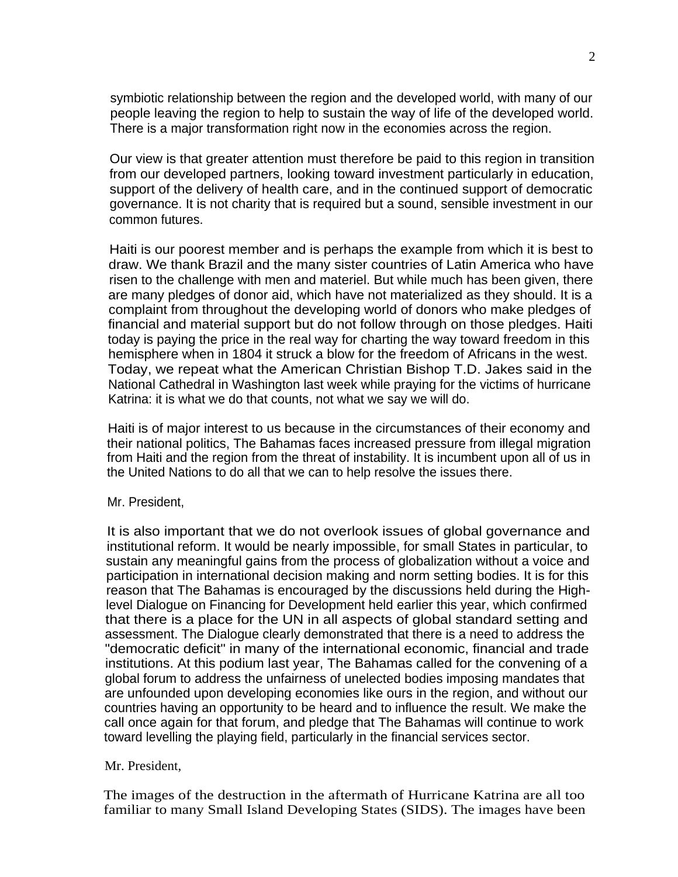symbiotic relationship between the region and the developed world, with many of our people leaving the region to help to sustain the way of life of the developed world. There is a major transformation right now in the economies across the region.

Our view is that greater attention must therefore be paid to this region in transition from our developed partners, looking toward investment particularly in education, support of the delivery of health care, and in the continued support of democratic governance. It is not charity that is required but a sound, sensible investment in our common futures.

Haiti is our poorest member and is perhaps the example from which it is best to draw. We thank Brazil and the many sister countries of Latin America who have risen to the challenge with men and materiel. But while much has been given, there are many pledges of donor aid, which have not materialized as they should. It is a complaint from throughout the developing world of donors who make pledges of financial and material support but do not follow through on those pledges. Haiti today is paying the price in the real way for charting the way toward freedom in this hemisphere when in 1804 it struck a blow for the freedom of Africans in the west. Today, we repeat what the American Christian Bishop T.D. Jakes said in the National Cathedral in Washington last week while praying for the victims of hurricane Katrina: it is what we do that counts, not what we say we will do.

Haiti is of major interest to us because in the circumstances of their economy and their national politics, The Bahamas faces increased pressure from illegal migration from Haiti and the region from the threat of instability. It is incumbent upon all of us in the United Nations to do all that we can to help resolve the issues there.

#### Mr. President,

It is also important that we do not overlook issues of global governance and institutional reform. It would be nearly impossible, for small States in particular, to sustain any meaningful gains from the process of globalization without a voice and participation in international decision making and norm setting bodies. It is for this reason that The Bahamas is encouraged by the discussions held during the Highlevel Dialogue on Financing for Development held earlier this year, which confirmed that there is a place for the UN in all aspects of global standard setting and assessment. The Dialogue clearly demonstrated that there is a need to address the "democratic deficit" in many of the international economic, financial and trade institutions. At this podium last year, The Bahamas called for the convening of a global forum to address the unfairness of unelected bodies imposing mandates that are unfounded upon developing economies like ours in the region, and without our countries having an opportunity to be heard and to influence the result. We make the call once again for that forum, and pledge that The Bahamas will continue to work toward levelling the playing field, particularly in the financial services sector.

#### Mr. President,

The images of the destruction in the aftermath of Hurricane Katrina are all too familiar to many Small Island Developing States (SIDS). The images have been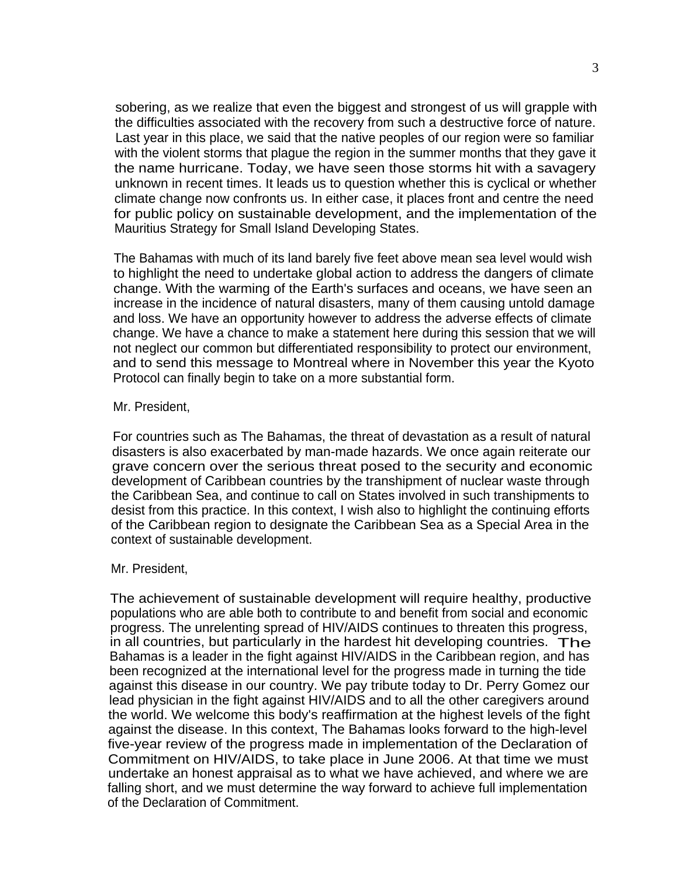sobering, as we realize that even the biggest and strongest of us will grapple with the difficulties associated with the recovery from such a destructive force of nature. Last year in this place, we said that the native peoples of our region were so familiar with the violent storms that plague the region in the summer months that they gave it the name hurricane. Today, we have seen those storms hit with a savagery unknown in recent times. It leads us to question whether this is cyclical or whether climate change now confronts us. In either case, it places front and centre the need for public policy on sustainable development, and the implementation of the Mauritius Strategy for Small Island Developing States.

The Bahamas with much of its land barely five feet above mean sea level would wish to highlight the need to undertake global action to address the dangers of climate change. With the warming of the Earth's surfaces and oceans, we have seen an increase in the incidence of natural disasters, many of them causing untold damage and loss. We have an opportunity however to address the adverse effects of climate change. We have a chance to make a statement here during this session that we will not neglect our common but differentiated responsibility to protect our environment, and to send this message to Montreal where in November this year the Kyoto Protocol can finally begin to take on a more substantial form.

#### Mr. President,

For countries such as The Bahamas, the threat of devastation as a result of natural disasters is also exacerbated by man-made hazards. We once again reiterate our grave concern over the serious threat posed to the security and economic development of Caribbean countries by the transhipment of nuclear waste through the Caribbean Sea, and continue to call on States involved in such transhipments to desist from this practice. In this context, I wish also to highlight the continuing efforts of the Caribbean region to designate the Caribbean Sea as a Special Area in the context of sustainable development.

#### Mr. President,

The achievement of sustainable development will require healthy, productive populations who are able both to contribute to and benefit from social and economic progress. The unrelenting spread of HIV/AIDS continues to threaten this progress, in all countries, but particularly in the hardest hit developing countries. The Bahamas is a leader in the fight against HIV/AIDS in the Caribbean region, and has been recognized at the international level for the progress made in turning the tide against this disease in our country. We pay tribute today to Dr. Perry Gomez our lead physician in the fight against HIV/AIDS and to all the other caregivers around the world. We welcome this body's reaffirmation at the highest levels of the fight against the disease. In this context, The Bahamas looks forward to the high-level five-year review of the progress made in implementation of the Declaration of Commitment on HIV/AIDS, to take place in June 2006. At that time we must undertake an honest appraisal as to what we have achieved, and where we are falling short, and we must determine the way forward to achieve full implementation of the Declaration of Commitment.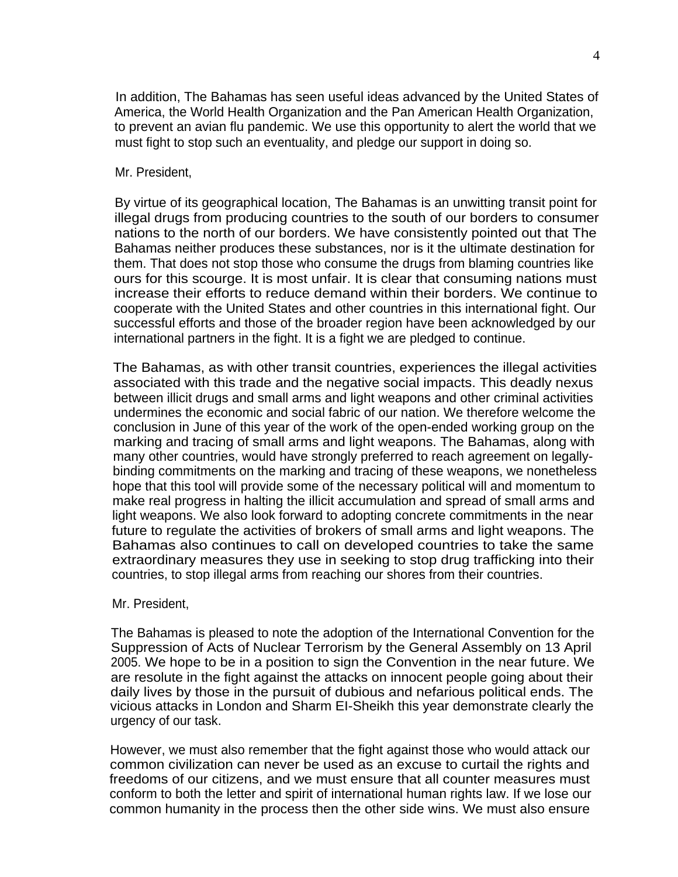In addition, The Bahamas has seen useful ideas advanced by the United States of America, the World Health Organization and the Pan American Health Organization, to prevent an avian flu pandemic. We use this opportunity to alert the world that we must fight to stop such an eventuality, and pledge our support in doing so.

#### Mr. President,

By virtue of its geographical location, The Bahamas is an unwitting transit point for illegal drugs from producing countries to the south of our borders to consumer nations to the north of our borders. We have consistently pointed out that The Bahamas neither produces these substances, nor is it the ultimate destination for them. That does not stop those who consume the drugs from blaming countries like ours for this scourge. It is most unfair. It is clear that consuming nations must increase their efforts to reduce demand within their borders. We continue to cooperate with the United States and other countries in this international fight. Our successful efforts and those of the broader region have been acknowledged by our international partners in the fight. It is a fight we are pledged to continue.

The Bahamas, as with other transit countries, experiences the illegal activities associated with this trade and the negative social impacts. This deadly nexus between illicit drugs and small arms and light weapons and other criminal activities undermines the economic and social fabric of our nation. We therefore welcome the conclusion in June of this year of the work of the open-ended working group on the marking and tracing of small arms and light weapons. The Bahamas, along with many other countries, would have strongly preferred to reach agreement on legallybinding commitments on the marking and tracing of these weapons, we nonetheless hope that this tool will provide some of the necessary political will and momentum to make real progress in halting the illicit accumulation and spread of small arms and light weapons. We also look forward to adopting concrete commitments in the near future to regulate the activities of brokers of small arms and light weapons. The Bahamas also continues to call on developed countries to take the same extraordinary measures they use in seeking to stop drug trafficking into their countries, to stop illegal arms from reaching our shores from their countries.

## Mr. President,

The Bahamas is pleased to note the adoption of the International Convention for the Suppression of Acts of Nuclear Terrorism by the General Assembly on 13 April 2005. We hope to be in a position to sign the Convention in the near future. We are resolute in the fight against the attacks on innocent people going about their daily lives by those in the pursuit of dubious and nefarious political ends. The vicious attacks in London and Sharm EI-Sheikh this year demonstrate clearly the urgency of our task.

However, we must also remember that the fight against those who would attack our common civilization can never be used as an excuse to curtail the rights and freedoms of our citizens, and we must ensure that all counter measures must conform to both the letter and spirit of international human rights law. If we lose our common humanity in the process then the other side wins. We must also ensure